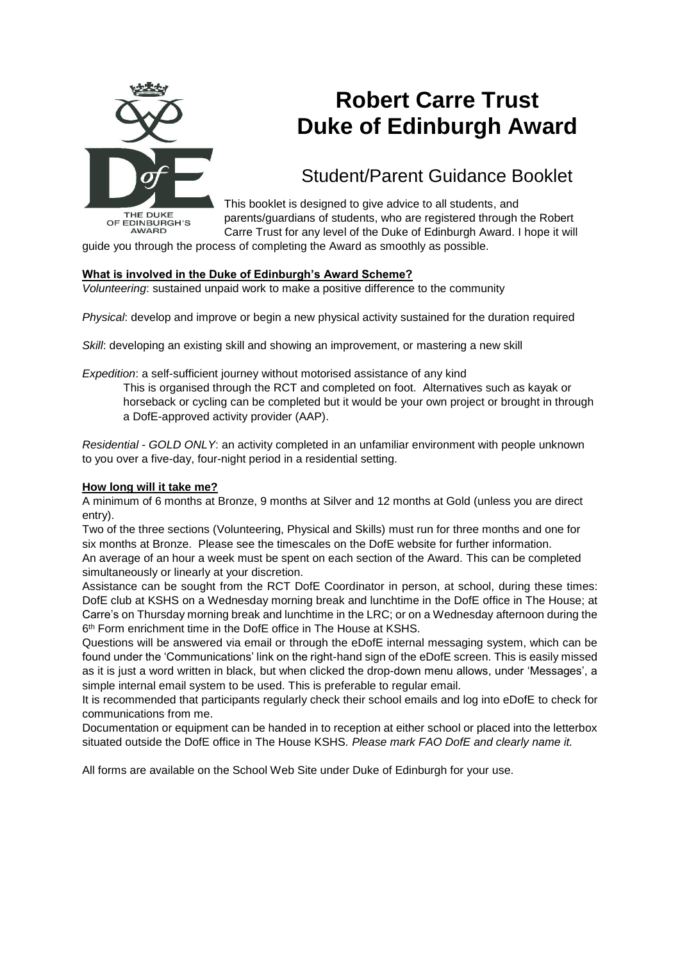

# **Robert Carre Trust Duke of Edinburgh Award**

## Student/Parent Guidance Booklet

This booklet is designed to give advice to all students, and parents/guardians of students, who are registered through the Robert Carre Trust for any level of the Duke of Edinburgh Award. I hope it will

guide you through the process of completing the Award as smoothly as possible.

## **What is involved in the Duke of Edinburgh's Award Scheme?**

*Volunteering*: sustained unpaid work to make a positive difference to the community

*Physical*: develop and improve or begin a new physical activity sustained for the duration required

*Skill*: developing an existing skill and showing an improvement, or mastering a new skill

*Expedition*: a self-sufficient journey without motorised assistance of any kind

This is organised through the RCT and completed on foot. Alternatives such as kayak or horseback or cycling can be completed but it would be your own project or brought in through a DofE-approved activity provider (AAP).

*Residential - GOLD ONLY*: an activity completed in an unfamiliar environment with people unknown to you over a five-day, four-night period in a residential setting.

## **How long will it take me?**

A minimum of 6 months at Bronze, 9 months at Silver and 12 months at Gold (unless you are direct entry).

Two of the three sections (Volunteering, Physical and Skills) must run for three months and one for six months at Bronze. Please see the timescales on the DofE website for further information.

An average of an hour a week must be spent on each section of the Award. This can be completed simultaneously or linearly at your discretion.

Assistance can be sought from the RCT DofE Coordinator in person, at school, during these times: DofE club at KSHS on a Wednesday morning break and lunchtime in the DofE office in The House; at Carre's on Thursday morning break and lunchtime in the LRC; or on a Wednesday afternoon during the 6 th Form enrichment time in the DofE office in The House at KSHS.

Questions will be answered via email or through the eDofE internal messaging system, which can be found under the 'Communications' link on the right-hand sign of the eDofE screen. This is easily missed as it is just a word written in black, but when clicked the drop-down menu allows, under 'Messages', a simple internal email system to be used. This is preferable to regular email.

It is recommended that participants regularly check their school emails and log into eDofE to check for communications from me.

Documentation or equipment can be handed in to reception at either school or placed into the letterbox situated outside the DofE office in The House KSHS*. Please mark FAO DofE and clearly name it.*

All forms are available on the School Web Site under Duke of Edinburgh for your use.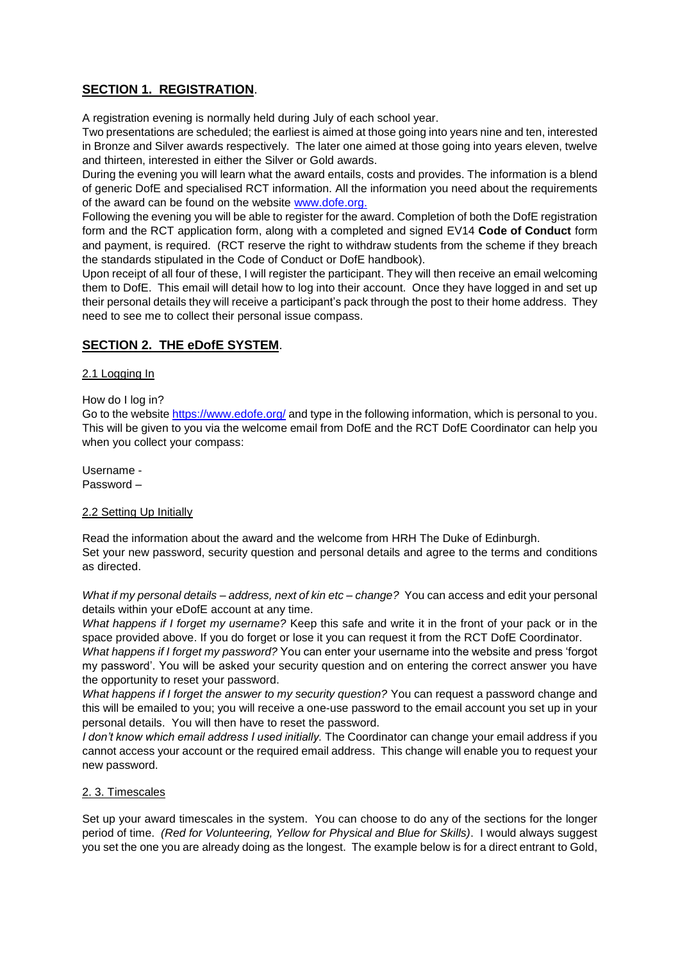## **SECTION 1. REGISTRATION**.

A registration evening is normally held during July of each school year.

Two presentations are scheduled; the earliest is aimed at those going into years nine and ten, interested in Bronze and Silver awards respectively. The later one aimed at those going into years eleven, twelve and thirteen, interested in either the Silver or Gold awards.

During the evening you will learn what the award entails, costs and provides. The information is a blend of generic DofE and specialised RCT information. All the information you need about the requirements of the award can be found on the website [www.dofe.org.](http://www.dofe.org/)

Following the evening you will be able to register for the award. Completion of both the DofE registration form and the RCT application form, along with a completed and signed EV14 **Code of Conduct** form and payment, is required. (RCT reserve the right to withdraw students from the scheme if they breach the standards stipulated in the Code of Conduct or DofE handbook).

Upon receipt of all four of these, I will register the participant. They will then receive an email welcoming them to DofE. This email will detail how to log into their account. Once they have logged in and set up their personal details they will receive a participant's pack through the post to their home address. They need to see me to collect their personal issue compass.

## **SECTION 2. THE eDofE SYSTEM**.

## 2.1 Logging In

How do I log in?

Go to the website<https://www.edofe.org/> and type in the following information, which is personal to you. This will be given to you via the welcome email from DofE and the RCT DofE Coordinator can help you when you collect your compass:

Username - Password –

## 2.2 Setting Up Initially

Read the information about the award and the welcome from HRH The Duke of Edinburgh. Set your new password, security question and personal details and agree to the terms and conditions as directed.

*What if my personal details – address, next of kin etc – change?* You can access and edit your personal details within your eDofE account at any time.

*What happens if I forget my username?* Keep this safe and write it in the front of your pack or in the space provided above. If you do forget or lose it you can request it from the RCT DofE Coordinator.

*What happens if I forget my password?* You can enter your username into the website and press 'forgot my password'. You will be asked your security question and on entering the correct answer you have the opportunity to reset your password.

*What happens if I forget the answer to my security question?* You can request a password change and this will be emailed to you; you will receive a one-use password to the email account you set up in your personal details. You will then have to reset the password.

*I don't know which email address I used initially.* The Coordinator can change your email address if you cannot access your account or the required email address. This change will enable you to request your new password.

## 2. 3. Timescales

Set up your award timescales in the system. You can choose to do any of the sections for the longer period of time. *(Red for Volunteering, Yellow for Physical and Blue for Skills)*. I would always suggest you set the one you are already doing as the longest. The example below is for a direct entrant to Gold,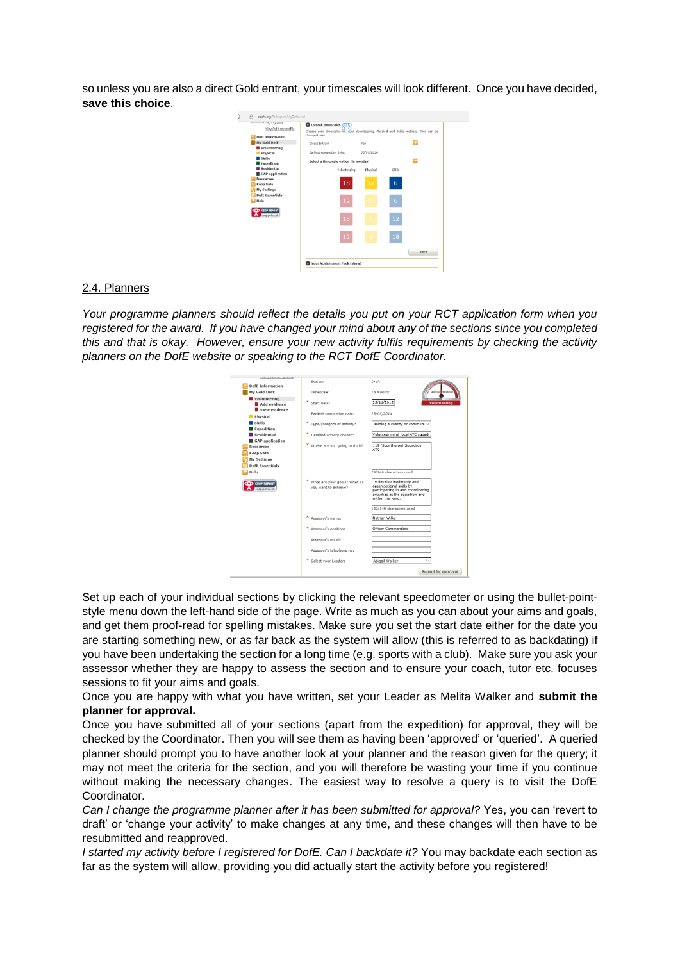so unless you are also a direct Gold entrant, your timescales will look different. Once you have decided, **save this choice**.



#### 2.4. Planners

*Your programme planners should reflect the details you put on your RCT application form when you registered for the award. If you have changed your mind about any of the sections since you completed this and that is okay. However, ensure your new activity fulfils requirements by checking the activity planners on the DofE website or speaking to the RCT DofE Coordinator.*



Set up each of your individual sections by clicking the relevant speedometer or using the bullet-pointstyle menu down the left-hand side of the page. Write as much as you can about your aims and goals, and get them proof-read for spelling mistakes. Make sure you set the start date either for the date you are starting something new, or as far back as the system will allow (this is referred to as backdating) if you have been undertaking the section for a long time (e.g. sports with a club). Make sure you ask your assessor whether they are happy to assess the section and to ensure your coach, tutor etc. focuses sessions to fit your aims and goals.

Once you are happy with what you have written, set your Leader as Melita Walker and **submit the planner for approval.** 

Once you have submitted all of your sections (apart from the expedition) for approval, they will be checked by the Coordinator. Then you will see them as having been 'approved' or 'queried'. A queried planner should prompt you to have another look at your planner and the reason given for the query; it may not meet the criteria for the section, and you will therefore be wasting your time if you continue without making the necessary changes. The easiest way to resolve a query is to visit the DofE Coordinator.

*Can I change the programme planner after it has been submitted for approval?* Yes, you can 'revert to draft' or 'change your activity' to make changes at any time, and these changes will then have to be resubmitted and reapproved.

*I started my activity before I registered for DofE. Can I backdate it?* You may backdate each section as far as the system will allow, providing you did actually start the activity before you registered!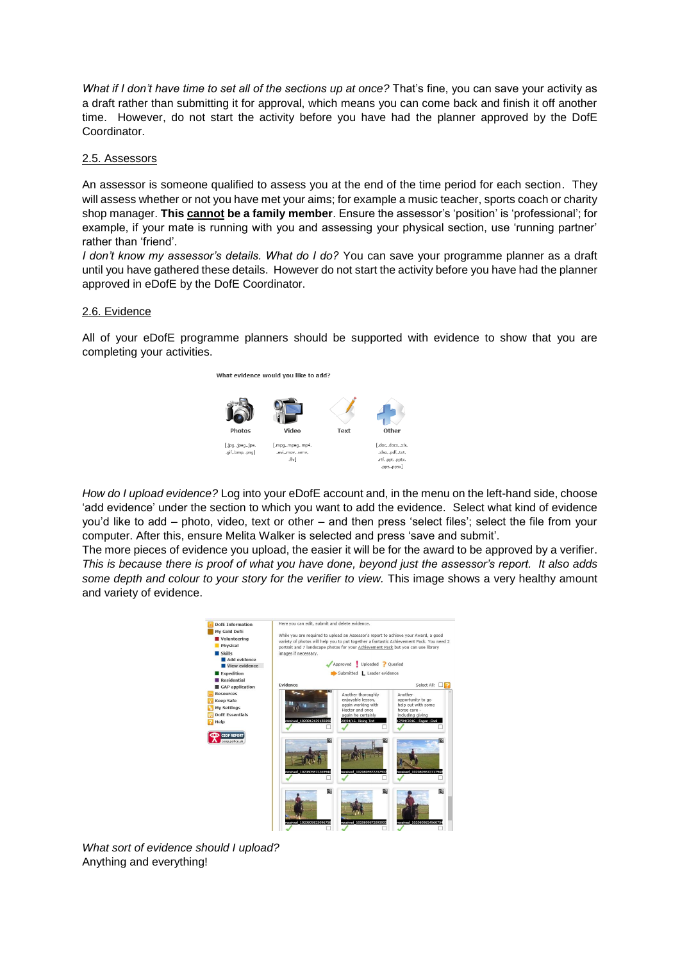*What if I don't have time to set all of the sections up at once?* That's fine, you can save your activity as a draft rather than submitting it for approval, which means you can come back and finish it off another time. However, do not start the activity before you have had the planner approved by the DofE Coordinator.

#### 2.5. Assessors

An assessor is someone qualified to assess you at the end of the time period for each section. They will assess whether or not you have met your aims; for example a music teacher, sports coach or charity shop manager. **This cannot be a family member**. Ensure the assessor's 'position' is 'professional'; for example, if your mate is running with you and assessing your physical section, use 'running partner' rather than 'friend'.

*I don't know my assessor's details. What do I do?* You can save your programme planner as a draft until you have gathered these details. However do not start the activity before you have had the planner approved in eDofE by the DofE Coordinator.

#### 2.6. Evidence

All of your eDofE programme planners should be supported with evidence to show that you are completing your activities.



*How do I upload evidence?* Log into your eDofE account and, in the menu on the left-hand side, choose 'add evidence' under the section to which you want to add the evidence. Select what kind of evidence you'd like to add – photo, video, text or other – and then press 'select files'; select the file from your computer. After this, ensure Melita Walker is selected and press 'save and submit'.

The more pieces of evidence you upload, the easier it will be for the award to be approved by a verifier. *This is because there is proof of what you have done, beyond just the assessor's report. It also adds some depth and colour to your story for the verifier to view.* This image shows a very healthy amount and variety of evidence.



*What sort of evidence should I upload?* Anything and everything!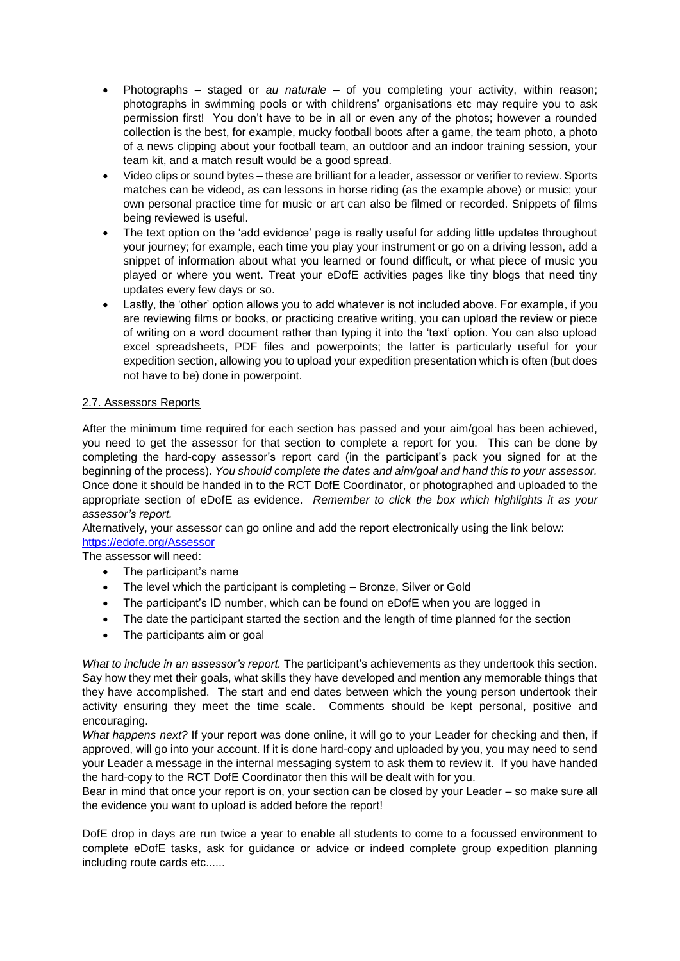- Photographs staged or *au naturale* of you completing your activity, within reason; photographs in swimming pools or with childrens' organisations etc may require you to ask permission first! You don't have to be in all or even any of the photos; however a rounded collection is the best, for example, mucky football boots after a game, the team photo, a photo of a news clipping about your football team, an outdoor and an indoor training session, your team kit, and a match result would be a good spread.
- Video clips or sound bytes these are brilliant for a leader, assessor or verifier to review. Sports matches can be videod, as can lessons in horse riding (as the example above) or music; your own personal practice time for music or art can also be filmed or recorded. Snippets of films being reviewed is useful.
- The text option on the 'add evidence' page is really useful for adding little updates throughout your journey; for example, each time you play your instrument or go on a driving lesson, add a snippet of information about what you learned or found difficult, or what piece of music you played or where you went. Treat your eDofE activities pages like tiny blogs that need tiny updates every few days or so.
- Lastly, the 'other' option allows you to add whatever is not included above. For example, if you are reviewing films or books, or practicing creative writing, you can upload the review or piece of writing on a word document rather than typing it into the 'text' option. You can also upload excel spreadsheets, PDF files and powerpoints; the latter is particularly useful for your expedition section, allowing you to upload your expedition presentation which is often (but does not have to be) done in powerpoint.

## 2.7. Assessors Reports

After the minimum time required for each section has passed and your aim/goal has been achieved, you need to get the assessor for that section to complete a report for you. This can be done by completing the hard-copy assessor's report card (in the participant's pack you signed for at the beginning of the process). *You should complete the dates and aim/goal and hand this to your assessor.* Once done it should be handed in to the RCT DofE Coordinator, or photographed and uploaded to the appropriate section of eDofE as evidence. *Remember to click the box which highlights it as your assessor's report.* 

Alternatively, your assessor can go online and add the report electronically using the link below: <https://edofe.org/Assessor>

## The assessor will need:

- The participant's name
- The level which the participant is completing Bronze, Silver or Gold
- The participant's ID number, which can be found on eDofE when you are logged in
- The date the participant started the section and the length of time planned for the section
- The participants aim or goal

*What to include in an assessor's report.* The participant's achievements as they undertook this section. Say how they met their goals, what skills they have developed and mention any memorable things that they have accomplished. The start and end dates between which the young person undertook their activity ensuring they meet the time scale. Comments should be kept personal, positive and encouraging.

*What happens next?* If your report was done online, it will go to your Leader for checking and then, if approved, will go into your account. If it is done hard-copy and uploaded by you, you may need to send your Leader a message in the internal messaging system to ask them to review it. If you have handed the hard-copy to the RCT DofE Coordinator then this will be dealt with for you.

Bear in mind that once your report is on, your section can be closed by your Leader – so make sure all the evidence you want to upload is added before the report!

DofE drop in days are run twice a year to enable all students to come to a focussed environment to complete eDofE tasks, ask for guidance or advice or indeed complete group expedition planning including route cards etc......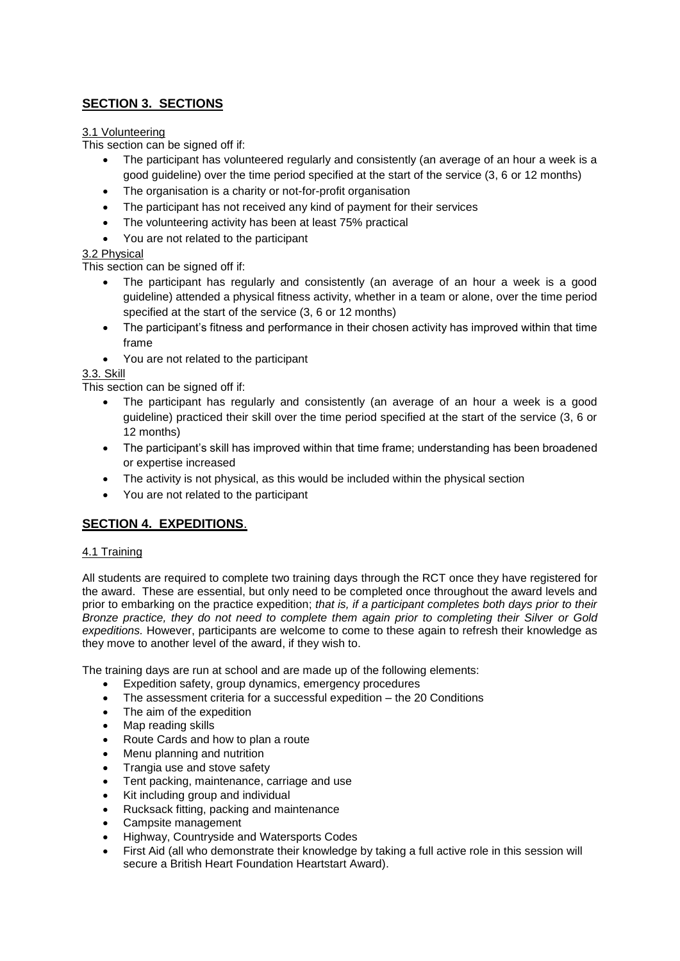## **SECTION 3. SECTIONS**

## 3.1 Volunteering

This section can be signed off if:

- The participant has volunteered regularly and consistently (an average of an hour a week is a good guideline) over the time period specified at the start of the service (3, 6 or 12 months)
- The organisation is a charity or not-for-profit organisation
- The participant has not received any kind of payment for their services
- The volunteering activity has been at least 75% practical
- You are not related to the participant

## 3.2 Physical

This section can be signed off if:

- The participant has regularly and consistently (an average of an hour a week is a good guideline) attended a physical fitness activity, whether in a team or alone, over the time period specified at the start of the service (3, 6 or 12 months)
- The participant's fitness and performance in their chosen activity has improved within that time frame
- You are not related to the participant

## 3.3. Skill

This section can be signed off if:

- The participant has regularly and consistently (an average of an hour a week is a good guideline) practiced their skill over the time period specified at the start of the service (3, 6 or 12 months)
- The participant's skill has improved within that time frame; understanding has been broadened or expertise increased
- The activity is not physical, as this would be included within the physical section
- You are not related to the participant

## **SECTION 4. EXPEDITIONS**.

## 4.1 Training

All students are required to complete two training days through the RCT once they have registered for the award. These are essential, but only need to be completed once throughout the award levels and prior to embarking on the practice expedition; *that is, if a participant completes both days prior to their Bronze practice, they do not need to complete them again prior to completing their Silver or Gold expeditions.* However, participants are welcome to come to these again to refresh their knowledge as they move to another level of the award, if they wish to.

The training days are run at school and are made up of the following elements:

- Expedition safety, group dynamics, emergency procedures
- The assessment criteria for a successful expedition the 20 Conditions
- The aim of the expedition
- Map reading skills
- Route Cards and how to plan a route
- Menu planning and nutrition
- Trangia use and stove safety
- Tent packing, maintenance, carriage and use
- Kit including group and individual
- Rucksack fitting, packing and maintenance
- Campsite management
- Highway, Countryside and Watersports Codes
- First Aid (all who demonstrate their knowledge by taking a full active role in this session will secure a British Heart Foundation Heartstart Award).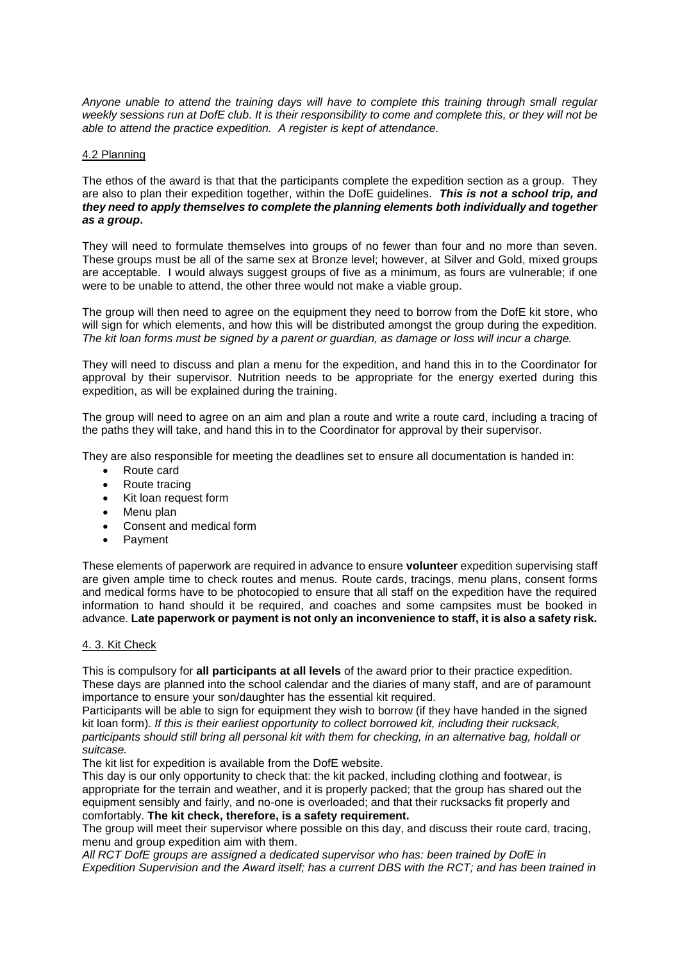*Anyone unable to attend the training days will have to complete this training through small regular weekly sessions run at DofE club. It is their responsibility to come and complete this, or they will not be able to attend the practice expedition. A register is kept of attendance.*

#### 4.2 Planning

The ethos of the award is that that the participants complete the expedition section as a group. They are also to plan their expedition together, within the DofE guidelines. *This is not a school trip, and they need to apply themselves to complete the planning elements both individually and together as a group***.** 

They will need to formulate themselves into groups of no fewer than four and no more than seven. These groups must be all of the same sex at Bronze level; however, at Silver and Gold, mixed groups are acceptable. I would always suggest groups of five as a minimum, as fours are vulnerable; if one were to be unable to attend, the other three would not make a viable group.

The group will then need to agree on the equipment they need to borrow from the DofE kit store, who will sign for which elements, and how this will be distributed amongst the group during the expedition. *The kit loan forms must be signed by a parent or guardian, as damage or loss will incur a charge.*

They will need to discuss and plan a menu for the expedition, and hand this in to the Coordinator for approval by their supervisor. Nutrition needs to be appropriate for the energy exerted during this expedition, as will be explained during the training.

The group will need to agree on an aim and plan a route and write a route card, including a tracing of the paths they will take, and hand this in to the Coordinator for approval by their supervisor.

They are also responsible for meeting the deadlines set to ensure all documentation is handed in:

- Route card
- Route tracing
- Kit loan request form
- Menu plan
- Consent and medical form
- Payment

These elements of paperwork are required in advance to ensure **volunteer** expedition supervising staff are given ample time to check routes and menus. Route cards, tracings, menu plans, consent forms and medical forms have to be photocopied to ensure that all staff on the expedition have the required information to hand should it be required, and coaches and some campsites must be booked in advance. **Late paperwork or payment is not only an inconvenience to staff, it is also a safety risk.**

#### 4. 3. Kit Check

This is compulsory for **all participants at all levels** of the award prior to their practice expedition. These days are planned into the school calendar and the diaries of many staff, and are of paramount importance to ensure your son/daughter has the essential kit required.

Participants will be able to sign for equipment they wish to borrow (if they have handed in the signed kit loan form). *If this is their earliest opportunity to collect borrowed kit, including their rucksack, participants should still bring all personal kit with them for checking, in an alternative bag, holdall or suitcase.*

The kit list for expedition is available from the DofE website.

This day is our only opportunity to check that: the kit packed, including clothing and footwear, is appropriate for the terrain and weather, and it is properly packed; that the group has shared out the equipment sensibly and fairly, and no-one is overloaded; and that their rucksacks fit properly and comfortably. **The kit check, therefore, is a safety requirement.**

The group will meet their supervisor where possible on this day, and discuss their route card, tracing, menu and group expedition aim with them.

*All RCT DofE groups are assigned a dedicated supervisor who has: been trained by DofE in Expedition Supervision and the Award itself; has a current DBS with the RCT; and has been trained in*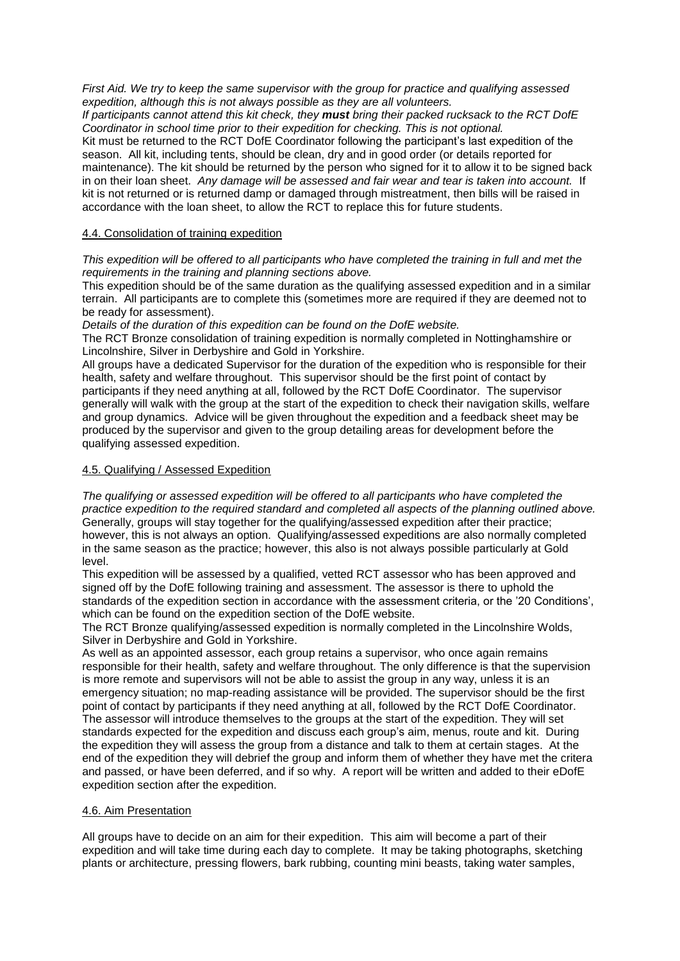*First Aid. We try to keep the same supervisor with the group for practice and qualifying assessed expedition, although this is not always possible as they are all volunteers.*

*If participants cannot attend this kit check, they must bring their packed rucksack to the RCT DofE Coordinator in school time prior to their expedition for checking. This is not optional.*

Kit must be returned to the RCT DofE Coordinator following the participant's last expedition of the season. All kit, including tents, should be clean, dry and in good order (or details reported for maintenance). The kit should be returned by the person who signed for it to allow it to be signed back in on their loan sheet. *Any damage will be assessed and fair wear and tear is taken into account.* If kit is not returned or is returned damp or damaged through mistreatment, then bills will be raised in accordance with the loan sheet, to allow the RCT to replace this for future students.

#### 4.4. Consolidation of training expedition

*This expedition will be offered to all participants who have completed the training in full and met the requirements in the training and planning sections above.*

This expedition should be of the same duration as the qualifying assessed expedition and in a similar terrain. All participants are to complete this (sometimes more are required if they are deemed not to be ready for assessment).

*Details of the duration of this expedition can be found on the DofE website.*

The RCT Bronze consolidation of training expedition is normally completed in Nottinghamshire or Lincolnshire, Silver in Derbyshire and Gold in Yorkshire.

All groups have a dedicated Supervisor for the duration of the expedition who is responsible for their health, safety and welfare throughout. This supervisor should be the first point of contact by participants if they need anything at all, followed by the RCT DofE Coordinator. The supervisor generally will walk with the group at the start of the expedition to check their navigation skills, welfare and group dynamics. Advice will be given throughout the expedition and a feedback sheet may be produced by the supervisor and given to the group detailing areas for development before the qualifying assessed expedition.

#### 4.5. Qualifying / Assessed Expedition

*The qualifying or assessed expedition will be offered to all participants who have completed the practice expedition to the required standard and completed all aspects of the planning outlined above.* Generally, groups will stay together for the qualifying/assessed expedition after their practice; however, this is not always an option. Qualifying/assessed expeditions are also normally completed in the same season as the practice; however, this also is not always possible particularly at Gold level.

This expedition will be assessed by a qualified, vetted RCT assessor who has been approved and signed off by the DofE following training and assessment. The assessor is there to uphold the standards of the expedition section in accordance with the assessment criteria, or the '20 Conditions', which can be found on the expedition section of the DofE website.

The RCT Bronze qualifying/assessed expedition is normally completed in the Lincolnshire Wolds, Silver in Derbyshire and Gold in Yorkshire.

As well as an appointed assessor, each group retains a supervisor, who once again remains responsible for their health, safety and welfare throughout. The only difference is that the supervision is more remote and supervisors will not be able to assist the group in any way, unless it is an emergency situation; no map-reading assistance will be provided. The supervisor should be the first point of contact by participants if they need anything at all, followed by the RCT DofE Coordinator. The assessor will introduce themselves to the groups at the start of the expedition. They will set standards expected for the expedition and discuss each group's aim, menus, route and kit. During the expedition they will assess the group from a distance and talk to them at certain stages. At the end of the expedition they will debrief the group and inform them of whether they have met the critera and passed, or have been deferred, and if so why. A report will be written and added to their eDofE expedition section after the expedition.

#### 4.6. Aim Presentation

All groups have to decide on an aim for their expedition. This aim will become a part of their expedition and will take time during each day to complete. It may be taking photographs, sketching plants or architecture, pressing flowers, bark rubbing, counting mini beasts, taking water samples,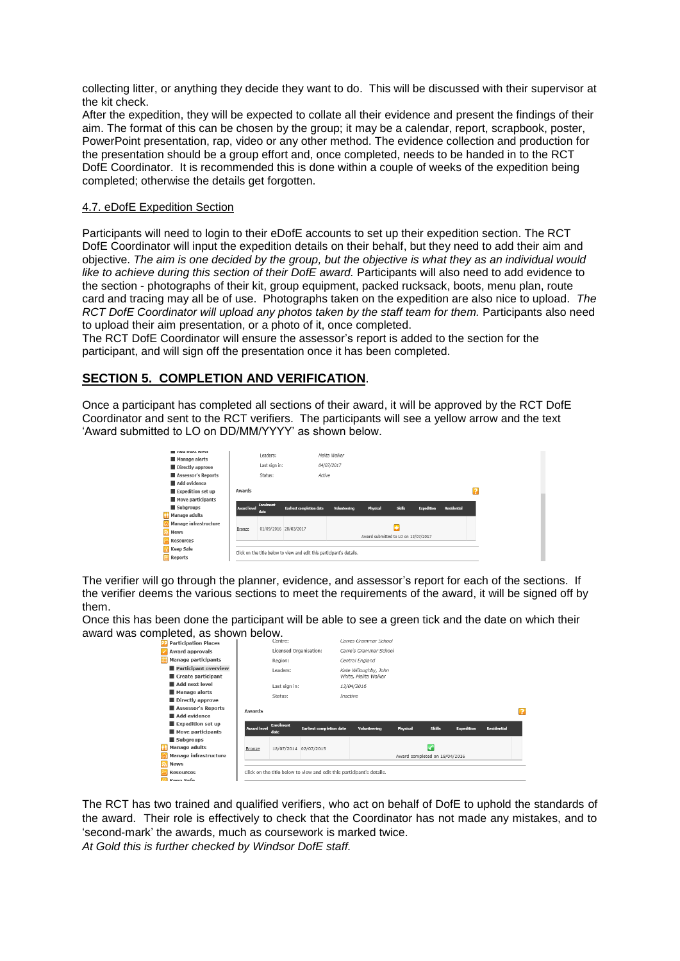collecting litter, or anything they decide they want to do. This will be discussed with their supervisor at the kit check.

After the expedition, they will be expected to collate all their evidence and present the findings of their aim. The format of this can be chosen by the group; it may be a calendar, report, scrapbook, poster, PowerPoint presentation, rap, video or any other method. The evidence collection and production for the presentation should be a group effort and, once completed, needs to be handed in to the RCT DofE Coordinator. It is recommended this is done within a couple of weeks of the expedition being completed; otherwise the details get forgotten.

#### 4.7. eDofE Expedition Section

Participants will need to login to their eDofE accounts to set up their expedition section. The RCT DofE Coordinator will input the expedition details on their behalf, but they need to add their aim and objective. *The aim is one decided by the group, but the objective is what they as an individual would like to achieve during this section of their DofE award.* Participants will also need to add evidence to the section - photographs of their kit, group equipment, packed rucksack, boots, menu plan, route card and tracing may all be of use. Photographs taken on the expedition are also nice to upload. *The RCT DofE Coordinator will upload any photos taken by the staff team for them.* Participants also need to upload their aim presentation, or a photo of it, once completed.

The RCT DofE Coordinator will ensure the assessor's report is added to the section for the participant, and will sign off the presentation once it has been completed.

## **SECTION 5. COMPLETION AND VERIFICATION**.

Once a participant has completed all sections of their award, it will be approved by the RCT DofE Coordinator and sent to the RCT verifiers. The participants will see a yellow arrow and the text 'Award submitted to LO on DD/MM/YYYY' as shown below.

| AUG HEXL JEVEL                         |             | Leaders:              |                                                                       | Melita Walker                       |          |               |            |                    |  |  |  |  |
|----------------------------------------|-------------|-----------------------|-----------------------------------------------------------------------|-------------------------------------|----------|---------------|------------|--------------------|--|--|--|--|
| Manage alerts<br>Directly approve      |             | Last sign in:         |                                                                       | 04/07/2017                          |          |               |            |                    |  |  |  |  |
| Assessor's Reports                     |             | Status:               |                                                                       | Active                              |          |               |            |                    |  |  |  |  |
| Add evidence                           |             |                       |                                                                       |                                     |          |               |            |                    |  |  |  |  |
| Expedition set up                      | Awards      |                       |                                                                       |                                     |          |               |            |                    |  |  |  |  |
| Move participants                      |             | <b>Enrolment</b>      |                                                                       |                                     |          |               |            |                    |  |  |  |  |
| Subgroups                              | Award level | date                  | <b>Earliest completion date</b>                                       | Volunteering                        | Physical | <b>Skills</b> | Expedition | <b>Residential</b> |  |  |  |  |
| Manage adults<br>Manage infrastructure |             |                       |                                                                       |                                     |          |               |            |                    |  |  |  |  |
| News                                   | Bronze      | 01/09/2016 28/03/2017 |                                                                       | ٠                                   |          |               |            |                    |  |  |  |  |
|                                        |             |                       |                                                                       | Award submitted to LO on 13/07/2017 |          |               |            |                    |  |  |  |  |
| <b>Resources</b>                       |             |                       |                                                                       |                                     |          |               |            |                    |  |  |  |  |
| <b>R</b> Keep Safe                     |             |                       | Click on the title below to view and edit this participant's details. |                                     |          |               |            |                    |  |  |  |  |

The verifier will go through the planner, evidence, and assessor's report for each of the sections. If the verifier deems the various sections to meet the requirements of the award, it will be signed off by them.

Once this has been done the participant will be able to see a green tick and the date on which their award was completed, as shown below.

| piotoa, ao oriomii boiom.   |                                                                       |                                                     |  |                               |                       |          |               |                   |                    |  |  |
|-----------------------------|-----------------------------------------------------------------------|-----------------------------------------------------|--|-------------------------------|-----------------------|----------|---------------|-------------------|--------------------|--|--|
| <b>Participation Places</b> |                                                                       | Centre:                                             |  |                               | Carres Grammar School |          |               |                   |                    |  |  |
| Award approvals             | Licensed Organisation:                                                |                                                     |  | Carre's Grammar School        |                       |          |               |                   |                    |  |  |
| <b>Manage participants</b>  |                                                                       | Region:                                             |  |                               | Central England       |          |               |                   |                    |  |  |
| Participant overview        |                                                                       | Leaders:                                            |  | Kate Willoughby, John         |                       |          |               |                   |                    |  |  |
| Create participant          |                                                                       |                                                     |  | White, Melita Walker          |                       |          |               |                   |                    |  |  |
| Add next level              |                                                                       | Last sign in:                                       |  | 13/04/2016                    |                       |          |               |                   |                    |  |  |
| Manage alerts               |                                                                       | Status:                                             |  | Inactive                      |                       |          |               |                   |                    |  |  |
| Directly approve            |                                                                       |                                                     |  |                               |                       |          |               |                   |                    |  |  |
| Assessor's Reports          | Awards                                                                |                                                     |  |                               |                       |          |               |                   |                    |  |  |
| Add evidence                |                                                                       |                                                     |  |                               |                       |          |               |                   |                    |  |  |
| Expedition set up           | <b>Award level</b>                                                    | <b>Enrolment</b><br><b>Earliest completion date</b> |  |                               |                       |          | <b>Skills</b> | <b>Expedition</b> | <b>Residential</b> |  |  |
| Move participants           |                                                                       | date                                                |  |                               | <b>Volunteering</b>   | Physical |               |                   |                    |  |  |
| Subgroups                   |                                                                       |                                                     |  |                               |                       |          |               |                   |                    |  |  |
| <b>Manage adults</b>        | Bronze                                                                | 18/07/2014 02/07/2015                               |  |                               | ✓                     |          |               |                   |                    |  |  |
| Manage infrastructure       |                                                                       |                                                     |  | Award completed on 18/04/2016 |                       |          |               |                   |                    |  |  |
| <b>News</b>                 |                                                                       |                                                     |  |                               |                       |          |               |                   |                    |  |  |
| <b>Resources</b>            | Click on the title below to view and edit this participant's details. |                                                     |  |                               |                       |          |               |                   |                    |  |  |
| Koon Safo                   |                                                                       |                                                     |  |                               |                       |          |               |                   |                    |  |  |

The RCT has two trained and qualified verifiers, who act on behalf of DofE to uphold the standards of the award. Their role is effectively to check that the Coordinator has not made any mistakes, and to 'second-mark' the awards, much as coursework is marked twice.

*At Gold this is further checked by Windsor DofE staff.*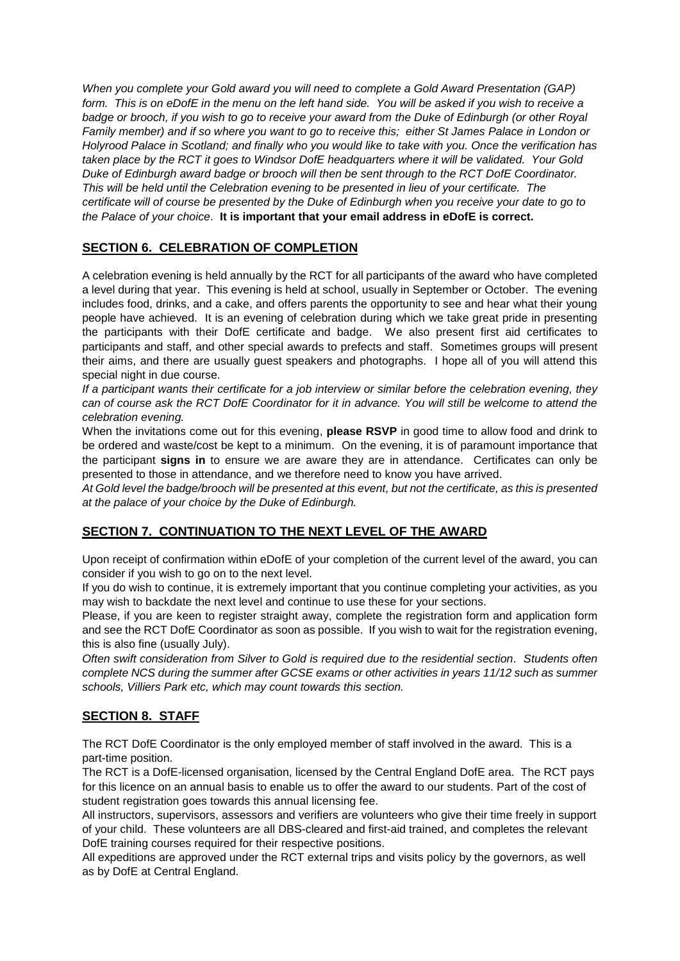*When you complete your Gold award you will need to complete a Gold Award Presentation (GAP) form. This is on eDofE in the menu on the left hand side. You will be asked if you wish to receive a badge or brooch, if you wish to go to receive your award from the Duke of Edinburgh (or other Royal Family member) and if so where you want to go to receive this; either St James Palace in London or Holyrood Palace in Scotland; and finally who you would like to take with you. Once the verification has taken place by the RCT it goes to Windsor DofE headquarters where it will be validated. Your Gold Duke of Edinburgh award badge or brooch will then be sent through to the RCT DofE Coordinator. This will be held until the Celebration evening to be presented in lieu of your certificate. The certificate will of course be presented by the Duke of Edinburgh when you receive your date to go to the Palace of your choice*. **It is important that your email address in eDofE is correct.**

## **SECTION 6. CELEBRATION OF COMPLETION**

A celebration evening is held annually by the RCT for all participants of the award who have completed a level during that year. This evening is held at school, usually in September or October. The evening includes food, drinks, and a cake, and offers parents the opportunity to see and hear what their young people have achieved. It is an evening of celebration during which we take great pride in presenting the participants with their DofE certificate and badge. We also present first aid certificates to participants and staff, and other special awards to prefects and staff. Sometimes groups will present their aims, and there are usually guest speakers and photographs. I hope all of you will attend this special night in due course.

*If a participant wants their certificate for a job interview or similar before the celebration evening, they can of course ask the RCT DofE Coordinator for it in advance. You will still be welcome to attend the celebration evening.*

When the invitations come out for this evening, **please RSVP** in good time to allow food and drink to be ordered and waste/cost be kept to a minimum. On the evening, it is of paramount importance that the participant **signs in** to ensure we are aware they are in attendance. Certificates can only be presented to those in attendance, and we therefore need to know you have arrived.

*At Gold level the badge/brooch will be presented at this event, but not the certificate, as this is presented at the palace of your choice by the Duke of Edinburgh.*

## **SECTION 7. CONTINUATION TO THE NEXT LEVEL OF THE AWARD**

Upon receipt of confirmation within eDofE of your completion of the current level of the award, you can consider if you wish to go on to the next level.

If you do wish to continue, it is extremely important that you continue completing your activities, as you may wish to backdate the next level and continue to use these for your sections.

Please, if you are keen to register straight away, complete the registration form and application form and see the RCT DofE Coordinator as soon as possible. If you wish to wait for the registration evening, this is also fine (usually July).

*Often swift consideration from Silver to Gold is required due to the residential section. Students often complete NCS during the summer after GCSE exams or other activities in years 11/12 such as summer schools, Villiers Park etc, which may count towards this section.*

## **SECTION 8. STAFF**

The RCT DofE Coordinator is the only employed member of staff involved in the award. This is a part-time position.

The RCT is a DofE-licensed organisation, licensed by the Central England DofE area. The RCT pays for this licence on an annual basis to enable us to offer the award to our students. Part of the cost of student registration goes towards this annual licensing fee.

All instructors, supervisors, assessors and verifiers are volunteers who give their time freely in support of your child. These volunteers are all DBS-cleared and first-aid trained, and completes the relevant DofE training courses required for their respective positions.

All expeditions are approved under the RCT external trips and visits policy by the governors, as well as by DofE at Central England.